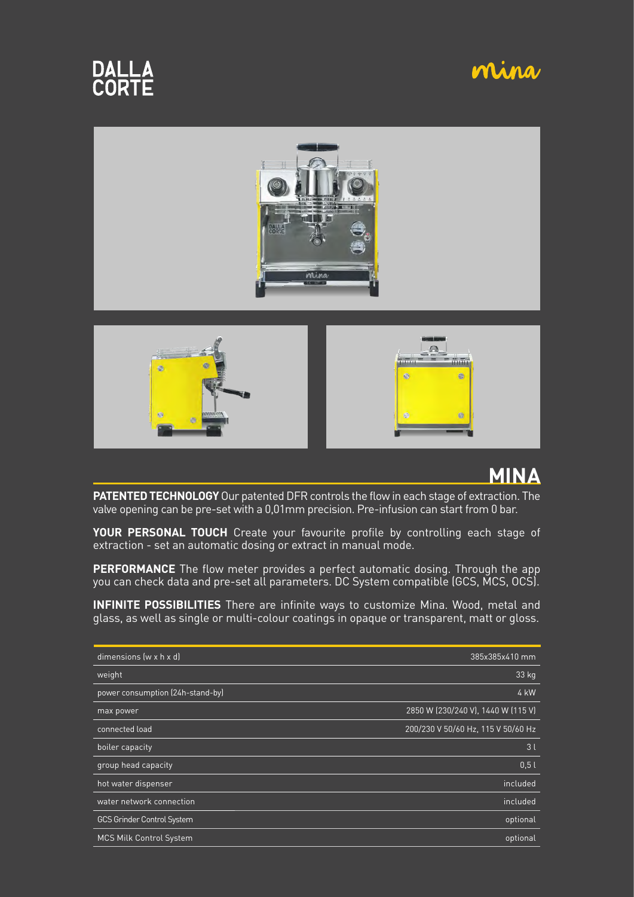# **DALLA**<br>CORTE

### mina







### **MINA**

**PATENTED TECHNOLOGY** Our patented DFR controls the flow in each stage of extraction. The valve opening can be pre-set with a 0,01mm precision. Pre-infusion can start from 0 bar.

**YOUR PERSONAL TOUCH** Create your favourite profile by controlling each stage of extraction - set an automatic dosing or extract in manual mode.

**PERFORMANCE** The flow meter provides a perfect automatic dosing. Through the app you can check data and pre-set all parameters. DC System compatible (GCS, MCS, OCS).

**INFINITE POSSIBILITIES** There are infinite ways to customize Mina. Wood, metal and glass, as well as single or multi-colour coatings in opaque or transparent, matt or gloss.

| dimensions (w x h x d)            | 385x385x410 mm                     |
|-----------------------------------|------------------------------------|
| weight                            | 33 kg                              |
| power consumption (24h-stand-by)  | 4 kW                               |
| max power                         | 2850 W (230/240 V), 1440 W (115 V) |
| connected load                    | 200/230 V 50/60 Hz, 115 V 50/60 Hz |
| boiler capacity                   | 3l                                 |
| group head capacity               | 0.5l                               |
| hot water dispenser               | included                           |
| water network connection          | included                           |
| <b>GCS Grinder Control System</b> | optional                           |
| MCS Milk Control System           | optional                           |